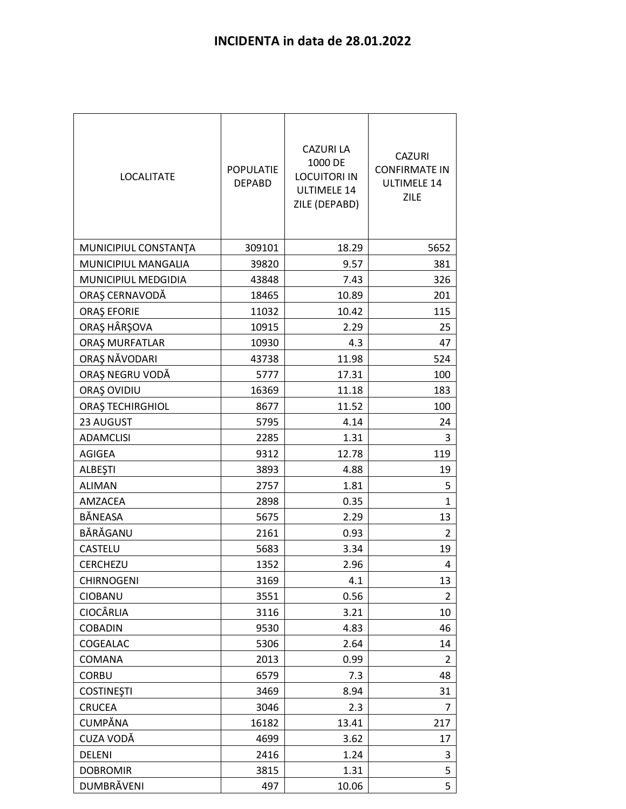| <b>LOCALITATE</b>    | <b>POPULATIE</b><br><b>DEPABD</b> | <b>CAZURI LA</b><br>1000 DE<br><b>LOCUITORI IN</b><br><b>ULTIMELE 14</b><br>ZILE (DEPABD) | <b>CAZURI</b><br><b>CONFIRMATE IN</b><br><b>ULTIMELE 14</b><br><b>ZILE</b> |
|----------------------|-----------------------------------|-------------------------------------------------------------------------------------------|----------------------------------------------------------------------------|
| MUNICIPIUL CONSTANTA | 309101                            | 18.29                                                                                     | 5652                                                                       |
| MUNICIPIUL MANGALIA  | 39820                             | 9.57                                                                                      | 381                                                                        |
| MUNICIPIUL MEDGIDIA  | 43848                             | 7.43                                                                                      | 326                                                                        |
| ORAȘ CERNAVODĂ       | 18465                             | 10.89                                                                                     | 201                                                                        |
| ORAȘ EFORIE          | 11032                             | 10.42                                                                                     | 115                                                                        |
| ORAŞ HÂRŞOVA         | 10915                             | 2.29                                                                                      | 25                                                                         |
| ORAȘ MURFATLAR       | 10930                             | 4.3                                                                                       | 47                                                                         |
| ORAȘ NĂVODARI        | 43738                             | 11.98                                                                                     | 524                                                                        |
| ORAȘ NEGRU VODĂ      | 5777                              | 17.31                                                                                     | 100                                                                        |
| ORAȘ OVIDIU          | 16369                             | 11.18                                                                                     | 183                                                                        |
| ORAȘ TECHIRGHIOL     | 8677                              | 11.52                                                                                     | 100                                                                        |
| 23 AUGUST            | 5795                              | 4.14                                                                                      | 24                                                                         |
| <b>ADAMCLISI</b>     | 2285                              | 1.31                                                                                      | 3                                                                          |
| AGIGEA               | 9312                              | 12.78                                                                                     | 119                                                                        |
| <b>ALBESTI</b>       | 3893                              | 4.88                                                                                      | 19                                                                         |
| <b>ALIMAN</b>        | 2757                              | 1.81                                                                                      | 5                                                                          |
| AMZACEA              | 2898                              | 0.35                                                                                      | 1                                                                          |
| BĂNEASA              | 5675                              | 2.29                                                                                      | 13                                                                         |
| BĂRĂGANU             | 2161                              | 0.93                                                                                      | 2                                                                          |
| CASTELU              | 5683                              | 3.34                                                                                      | 19                                                                         |
| CERCHEZU             | 1352                              | 2.96                                                                                      | 4                                                                          |
| <b>CHIRNOGENI</b>    | 3169                              | 4.1                                                                                       | 13                                                                         |
| CIOBANU              | 3551                              | 0.56                                                                                      | 2                                                                          |
| CIOCÂRLIA            | 3116                              | 3.21                                                                                      | 10                                                                         |
| <b>COBADIN</b>       | 9530                              | 4.83                                                                                      | 46                                                                         |
| COGEALAC             | 5306                              | 2.64                                                                                      | 14                                                                         |
| COMANA               | 2013                              | 0.99                                                                                      | 2                                                                          |
| <b>CORBU</b>         | 6579                              | 7.3                                                                                       | 48                                                                         |
| <b>COSTINESTI</b>    | 3469                              | 8.94                                                                                      | 31                                                                         |
| <b>CRUCEA</b>        | 3046                              | 2.3                                                                                       | 7                                                                          |
| CUMPĂNA              | 16182                             | 13.41                                                                                     | 217                                                                        |
| CUZA VODĂ            | 4699                              | 3.62                                                                                      | 17                                                                         |
| DELENI               | 2416                              | 1.24                                                                                      | 3                                                                          |
| <b>DOBROMIR</b>      | 3815                              | 1.31                                                                                      | 5                                                                          |
| DUMBRĂVENI           | 497                               | 10.06                                                                                     | 5                                                                          |